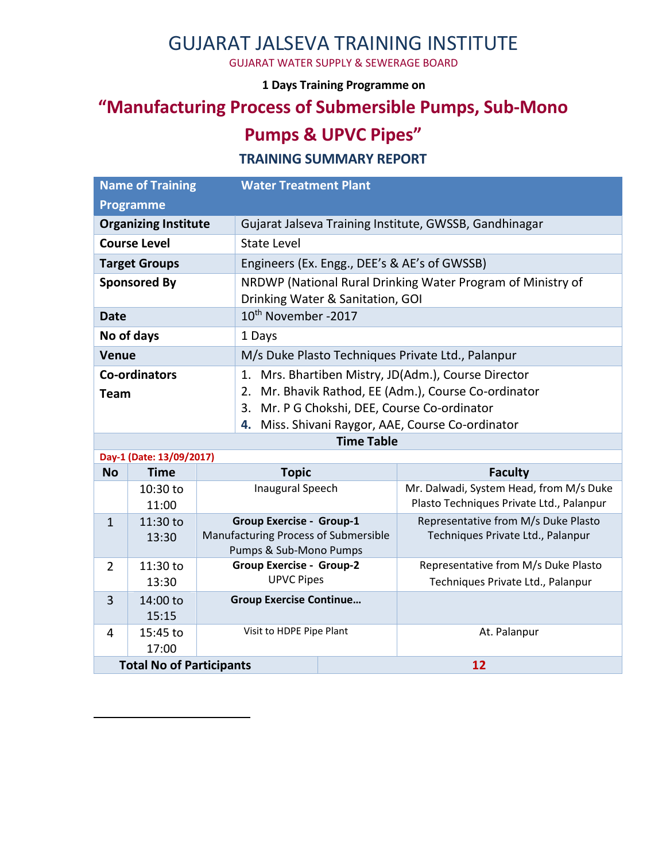### GUJARAT JALSEVA TRAINING INSTITUTE

GUJARAT WATER SUPPLY & SEWERAGE BOARD

**1 Days Training Programme on** 

# **"Manufacturing Process of Submersible Pumps, Sub-Mono**

## **Pumps & UPVC Pipes"**

#### **TRAINING SUMMARY REPORT**

| <b>Name of Training</b>             |                   |                                                                                                   | <b>Water Treatment Plant</b>                                                                                                                                                                                              |  |                                                                                     |
|-------------------------------------|-------------------|---------------------------------------------------------------------------------------------------|---------------------------------------------------------------------------------------------------------------------------------------------------------------------------------------------------------------------------|--|-------------------------------------------------------------------------------------|
| <b>Programme</b>                    |                   |                                                                                                   |                                                                                                                                                                                                                           |  |                                                                                     |
| <b>Organizing Institute</b>         |                   |                                                                                                   | Gujarat Jalseva Training Institute, GWSSB, Gandhinagar                                                                                                                                                                    |  |                                                                                     |
| <b>Course Level</b>                 |                   |                                                                                                   | <b>State Level</b>                                                                                                                                                                                                        |  |                                                                                     |
| <b>Target Groups</b>                |                   |                                                                                                   | Engineers (Ex. Engg., DEE's & AE's of GWSSB)                                                                                                                                                                              |  |                                                                                     |
| <b>Sponsored By</b>                 |                   |                                                                                                   | NRDWP (National Rural Drinking Water Program of Ministry of<br>Drinking Water & Sanitation, GOI                                                                                                                           |  |                                                                                     |
| <b>Date</b>                         |                   |                                                                                                   | 10 <sup>th</sup> November -2017                                                                                                                                                                                           |  |                                                                                     |
| No of days                          |                   |                                                                                                   | 1 Days                                                                                                                                                                                                                    |  |                                                                                     |
| <b>Venue</b>                        |                   |                                                                                                   | M/s Duke Plasto Techniques Private Ltd., Palanpur                                                                                                                                                                         |  |                                                                                     |
| <b>Co-ordinators</b><br><b>Team</b> |                   |                                                                                                   | 1. Mrs. Bhartiben Mistry, JD(Adm.), Course Director<br>Mr. Bhavik Rathod, EE (Adm.), Course Co-ordinator<br>2.<br>Mr. P G Chokshi, DEE, Course Co-ordinator<br>3.<br>Miss. Shivani Raygor, AAE, Course Co-ordinator<br>4. |  |                                                                                     |
|                                     |                   |                                                                                                   | <b>Time Table</b>                                                                                                                                                                                                         |  |                                                                                     |
| Day-1 (Date: 13/09/2017)            |                   |                                                                                                   |                                                                                                                                                                                                                           |  |                                                                                     |
| <b>No</b>                           | <b>Time</b>       |                                                                                                   | <b>Topic</b>                                                                                                                                                                                                              |  | <b>Faculty</b>                                                                      |
|                                     | 10:30 to<br>11:00 | <b>Inaugural Speech</b>                                                                           |                                                                                                                                                                                                                           |  | Mr. Dalwadi, System Head, from M/s Duke<br>Plasto Techniques Private Ltd., Palanpur |
| $\mathbf{1}$                        | 11:30 to<br>13:30 | <b>Group Exercise - Group-1</b><br>Manufacturing Process of Submersible<br>Pumps & Sub-Mono Pumps |                                                                                                                                                                                                                           |  | Representative from M/s Duke Plasto<br>Techniques Private Ltd., Palanpur            |
| 11:30 to<br>$\overline{2}$          |                   |                                                                                                   | <b>Group Exercise - Group-2</b>                                                                                                                                                                                           |  | Representative from M/s Duke Plasto                                                 |
|                                     | 13:30             | <b>UPVC Pipes</b>                                                                                 |                                                                                                                                                                                                                           |  | Techniques Private Ltd., Palanpur                                                   |
| 3                                   | 14:00 to<br>15:15 | <b>Group Exercise Continue</b>                                                                    |                                                                                                                                                                                                                           |  |                                                                                     |
| 4                                   | 15:45 to<br>17:00 | Visit to HDPE Pipe Plant                                                                          |                                                                                                                                                                                                                           |  | At. Palanpur                                                                        |
| <b>Total No of Participants</b>     |                   |                                                                                                   |                                                                                                                                                                                                                           |  | 12                                                                                  |